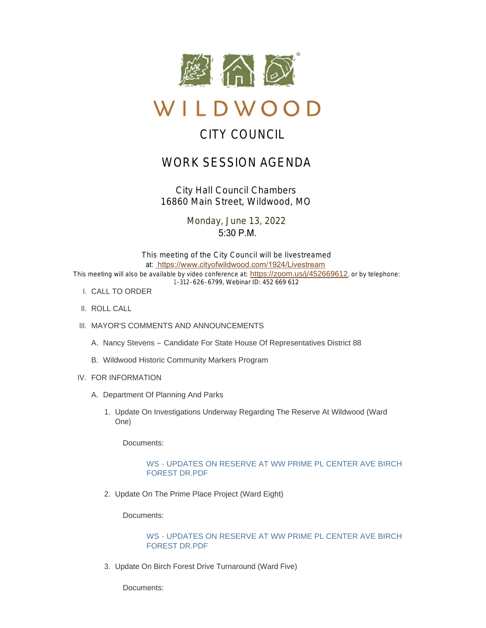

# WILDWOOD

# CITY COUNCIL

# WORK SESSION AGENDA

*City Hall Council Chambers 16860 Main Street, Wildwood, MO*

> Monday, June 13, 2022  $5:30 \text{ P.M.}$

This meeting of the City Council will be livestreamed at: [https://www.cityofwildwood.com/1924/Livestream](https://www.cityofwildwood.com/Admin/AgendaCenter/Agenda/Edit/%20https://www.cityofwildwood.com/1924/Livestream) This meeting will also be available by video conference at: <https://zoom.us/j/452669612>, or by telephone: 1-312-626-6799, Webinar ID: 452 669 612

- CALL TO ORDER I.
- II. ROLL CALL
- III. MAYOR'S COMMENTS AND ANNOUNCEMENTS
	- A. Nancy Stevens Candidate For State House Of Representatives District 88
	- B. Wildwood Historic Community Markers Program
- IV. FOR INFORMATION
	- A. Department Of Planning And Parks
		- 1. Update On Investigations Underway Regarding The Reserve At Wildwood (Ward One)

Documents:

# [WS - UPDATES ON RESERVE AT WW PRIME PL CENTER AVE BIRCH](https://www.cityofwildwood.com/AgendaCenter/ViewFile/Item/32798?fileID=34836)  FOREST DR.PDF

2. Update On The Prime Place Project (Ward Eight)

Documents:

# [WS - UPDATES ON RESERVE AT WW PRIME PL CENTER AVE BIRCH](https://www.cityofwildwood.com/AgendaCenter/ViewFile/Item/32797?fileID=34837)  FOREST DR.PDF

3. Update On Birch Forest Drive Turnaround (Ward Five)

Documents: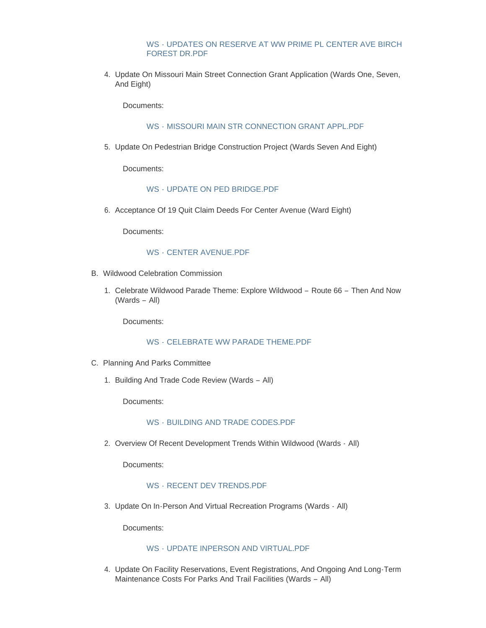#### [WS - UPDATES ON RESERVE AT WW PRIME PL CENTER AVE BIRCH](https://www.cityofwildwood.com/AgendaCenter/ViewFile/Item/32796?fileID=34835)  FOREST DR.PDF

4. Update On Missouri Main Street Connection Grant Application (Wards One, Seven, And Eight)

Documents:

# WS - [MISSOURI MAIN STR CONNECTION GRANT APPL.PDF](https://www.cityofwildwood.com/AgendaCenter/ViewFile/Item/32795?fileID=34848)

5. Update On Pedestrian Bridge Construction Project (Wards Seven And Eight)

Documents:

#### WS - [UPDATE ON PED BRIDGE.PDF](https://www.cityofwildwood.com/AgendaCenter/ViewFile/Item/32794?fileID=34839)

6. Acceptance Of 19 Quit Claim Deeds For Center Avenue (Ward Eight)

Documents:

#### WS - [CENTER AVENUE.PDF](https://www.cityofwildwood.com/AgendaCenter/ViewFile/Item/32793?fileID=34844)

- B. Wildwood Celebration Commission
	- 1. Celebrate Wildwood Parade Theme: Explore Wildwood Route 66 Then And Now (Wards – All)

Documents:

#### WS - [CELEBRATE WW PARADE THEME.PDF](https://www.cityofwildwood.com/AgendaCenter/ViewFile/Item/32792?fileID=34845)

- C. Planning And Parks Committee
	- 1. Building And Trade Code Review (Wards All)

Documents:

#### WS - [BUILDING AND TRADE CODES.PDF](https://www.cityofwildwood.com/AgendaCenter/ViewFile/Item/32791?fileID=34846)

2. Overview Of Recent Development Trends Within Wildwood (Wards - All)

Documents:

#### WS - [RECENT DEV TRENDS.PDF](https://www.cityofwildwood.com/AgendaCenter/ViewFile/Item/32790?fileID=34842)

3. Update On In-Person And Virtual Recreation Programs (Wards - All)

Documents:

#### WS - [UPDATE INPERSON AND VIRTUAL.PDF](https://www.cityofwildwood.com/AgendaCenter/ViewFile/Item/32789?fileID=34841)

4. Update On Facility Reservations, Event Registrations, And Ongoing And Long-Term Maintenance Costs For Parks And Trail Facilities (Wards – All)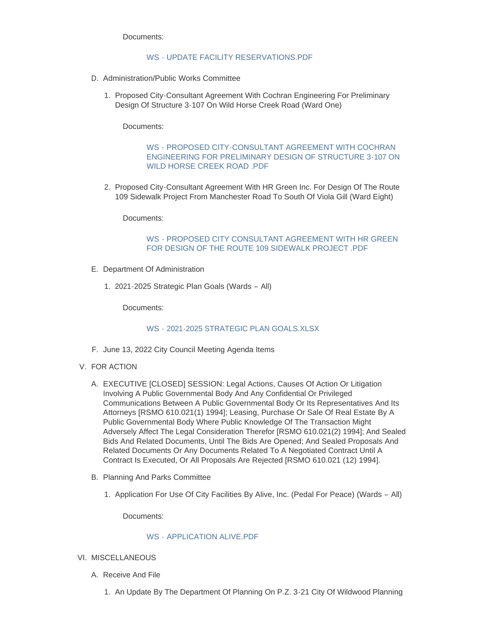Documents:

# WS - UPDATE FACILITY RESERVATIONS PDF

- D. Administration/Public Works Committee
	- 1. Proposed City-Consultant Agreement With Cochran Engineering For Preliminary Design Of Structure 3-107 On Wild Horse Creek Road (Ward One)

Documents:

# WS - PROPOSED CITY-CONSULTANT AGREEMENT WITH COCHRAN ENGINEERING FOR PRELIMINARY DESIGN OF STRUCTURE 3-107 ON WILD HORSE CREEK ROAD .PDF

2. Proposed City-Consultant Agreement With HR Green Inc. For Design Of The Route 109 Sidewalk Project From Manchester Road To South Of Viola Gill (Ward Eight)

Documents:

#### [WS - PROPOSED CITY CONSULTANT AGREEMENT WITH HR GREEN](https://www.cityofwildwood.com/AgendaCenter/ViewFile/Item/32786?fileID=34830)  FOR DESIGN OF THE ROUTE 109 SIDEWALK PROJECT .PDF

- E. Department Of Administration
	- 2021-2025 Strategic Plan Goals (Wards All) 1.

Documents:

#### WS - [2021-2025 STRATEGIC PLAN GOALS.XLSX](https://www.cityofwildwood.com/AgendaCenter/ViewFile/Item/32785?fileID=34823)

- F. June 13, 2022 City Council Meeting Agenda Items
- V. FOR ACTION
	- EXECUTIVE [CLOSED] SESSION: Legal Actions, Causes Of Action Or Litigation A. Involving A Public Governmental Body And Any Confidential Or Privileged Communications Between A Public Governmental Body Or Its Representatives And Its Attorneys [RSMO 610.021(1) 1994]; Leasing, Purchase Or Sale Of Real Estate By A Public Governmental Body Where Public Knowledge Of The Transaction Might Adversely Affect The Legal Consideration Therefor [RSMO 610.021(2) 1994]; And Sealed Bids And Related Documents, Until The Bids Are Opened; And Sealed Proposals And Related Documents Or Any Documents Related To A Negotiated Contract Until A Contract Is Executed, Or All Proposals Are Rejected [RSMO 610.021 (12) 1994].
	- B. Planning And Parks Committee
		- 1. Application For Use Of City Facilities By Alive, Inc. (Pedal For Peace) (Wards All)

Documents:

# WS - [APPLICATION ALIVE.PDF](https://www.cityofwildwood.com/AgendaCenter/ViewFile/Item/32783?fileID=34847)

- VI. MISCELLANEOUS
	- A. Receive And File
		- 1. An Update By The Department Of Planning On P.Z. 3-21 City Of Wildwood Planning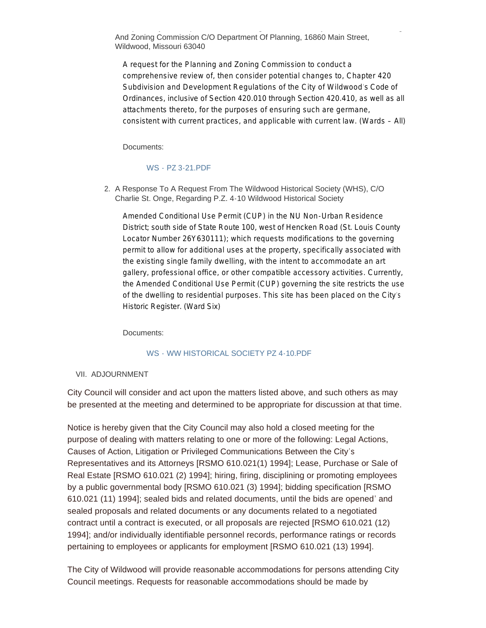An Update By The Department Of Planning On P.Z. 3-21 City Of Wildwood Planning And Zoning Commission C/O Department Of Planning, 16860 Main Street, Wildwood, Missouri 63040

A request for the Planning and Zoning Commission to conduct a comprehensive review of, then consider potential changes to, Chapter 420 Subdivision and Development Regulations of the City of Wildwood's Code of Ordinances, inclusive of Section 420.010 through Section 420.410, as well as all attachments thereto, for the purposes of ensuring such are germane, consistent with current practices, and applicable with current law. (Wards – All)

Documents:

#### WS - [PZ 3-21.PDF](https://www.cityofwildwood.com/AgendaCenter/ViewFile/Item/32799?fileID=34843)

2. A Response To A Request From The Wildwood Historical Society (WHS), C/O Charlie St. Onge, Regarding P.Z. 4-10 Wildwood Historical Society

Amended Conditional Use Permit (CUP) in the NU Non-Urban Residence District; south side of State Route 100, west of Hencken Road (St. Louis County Locator Number 26Y630111); which requests modifications to the governing permit to allow for additional uses at the property, specifically associated with the existing single family dwelling, with the intent to accommodate an art gallery, professional office, or other compatible accessory activities. Currently, the Amended Conditional Use Permit (CUP) governing the site restricts the use of the dwelling to residential purposes. This site has been placed on the City's Historic Register. (Ward Six)

Documents:

#### WS - [WW HISTORICAL SOCIETY PZ 4-10.PDF](https://www.cityofwildwood.com/AgendaCenter/ViewFile/Item/32800?fileID=34834)

#### VII. ADJOURNMENT

City Council will consider and act upon the matters listed above, and such others as may be presented at the meeting and determined to be appropriate for discussion at that time.

Notice is hereby given that the City Council may also hold a closed meeting for the purpose of dealing with matters relating to one or more of the following: Legal Actions, Causes of Action, Litigation or Privileged Communications Between the City's Representatives and its Attorneys [RSMO 610.021(1) 1994]; Lease, Purchase or Sale of Real Estate [RSMO 610.021 (2) 1994]; hiring, firing, disciplining or promoting employees by a public governmental body [RSMO 610.021 (3) 1994]; bidding specification [RSMO 610.021 (11) 1994]; sealed bids and related documents, until the bids are opened' and sealed proposals and related documents or any documents related to a negotiated contract until a contract is executed, or all proposals are rejected [RSMO 610.021 (12) 1994]; and/or individually identifiable personnel records, performance ratings or records pertaining to employees or applicants for employment [RSMO 610.021 (13) 1994].

The City of Wildwood will provide reasonable accommodations for persons attending City Council meetings. Requests for reasonable accommodations should be made by